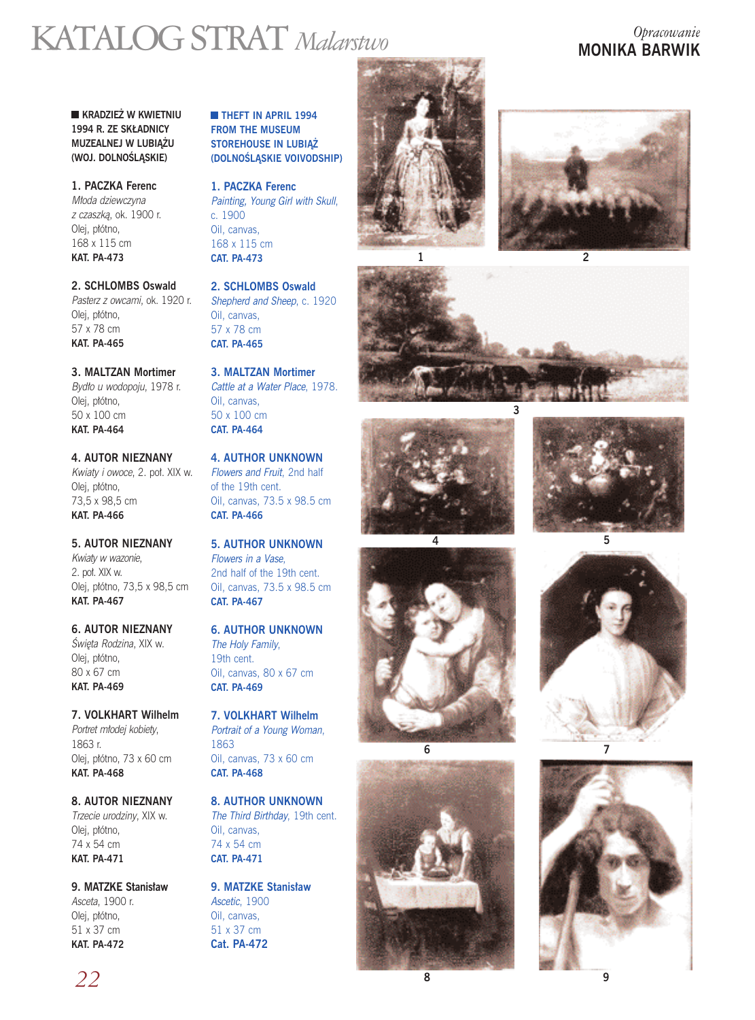# KATALOG STRAT *Malarstwo Opracowanie*

# **MONIKA BARWIK**

**KRADZIEŻ W KWIETNIU** 1994 R. ZE SKŁADNICY **MUZEALNEJ W LUBIAŻU (WOJ. DOLNOÂLÑSKIE)**

**1. PACZKA Ferenc** Młoda dziewczyna z czaszką, ok. 1900 r. Olej, płótno, 168 x 115 cm **KAT. PA-473** 

**2. SCHLOMBS Oswald** Pasterz z owcami, ok. 1920 r. Olej, płótno, 57 x 78 cm **KAT. PA-465** 

**3. MALTZAN Mortimer** Bydło u wodopoju, 1978 r. Olej, płótno, 50 x 100 cm **KAT. PA-464** 

**4. AUTOR NIEZNANY** Kwiaty i owoce, 2. poł. XIX w. Olej, płótno, 73,5 x 98,5 cm **KAT. PA-466** 

**5. AUTOR NIEZNANY** Kwiaty w wazonie, 2. pot. XIX w. Olej, p∏ótno, 73,5 x 98,5 cm **KAT. PA-467** 

**6. AUTOR NIEZNANY** Świeta Rodzina, XIX w. Olej, płótno, 80 x 67 cm **KAT. PA-469** 

**7. VOLKHART Wilhelm** Portret młodej kobiety, 1863 r. Olei, płótno, 73 x 60 cm **KAT. PA-468** 

**8. AUTOR NIEZNANY** Trzecie urodziny, XIX w. Olei, płótno, 74 x 54 cm **KAT. PA-471** 

**9. MATZKE Stanis∏aw** Asceta, 1900 r. Olej, płótno, 51 x 37 cm **KAT. PA-472** 

**THEFT IN APRIL 1994 FROM THE MUSEUM STOREHOUSE IN LUBIAŻ (DOLNOÂLÑSKIE VOIVODSHIP)**

**1. PACZKA Ferenc** Painting, Young Girl with Skull, c. 1900 Oil, canvas, 168 x 115 cm **CAT. PA-473** 

**2. SCHLOMBS Oswald** Shepherd and Sheep, c. 1920 Oil, canvas, 57 x 78 cm **CAT. PA-465** 

**3. MALTZAN Mortimer** Cattle at a Water Place, 1978. Oil, canvas, 50 x 100 cm **CAT. PA-464** 

**4. AUTHOR UNKNOWN** Flowers and Fruit, 2nd half of the 19th cent. Oil, canvas, 73.5 x 98.5 cm **CAT. PA-466** 

**5. AUTHOR UNKNOWN** Flowers in a Vase, 2nd half of the 19th cent. Oil, canvas, 73.5 x 98.5 cm **CAT. PA-467** 

**6. AUTHOR UNKNOWN** The Holy Family, 19th cent. Oil, canvas, 80 x 67 cm **CAT. PA-469** 

**7. VOLKHART Wilhelm** Portrait of a Young Woman, 1863 Oil, canvas, 73 x 60 cm **CAT. PA-468** 

**8. AUTHOR UNKNOWN** The Third Birthday, 19th cent. Oil, canvas, 74 x 54 cm **CAT. PA-471** 

**9. MATZKE Stanis∏aw** Ascetic, 1900 Oil, canvas, 51 x 37 cm **Cat. PA-472**

















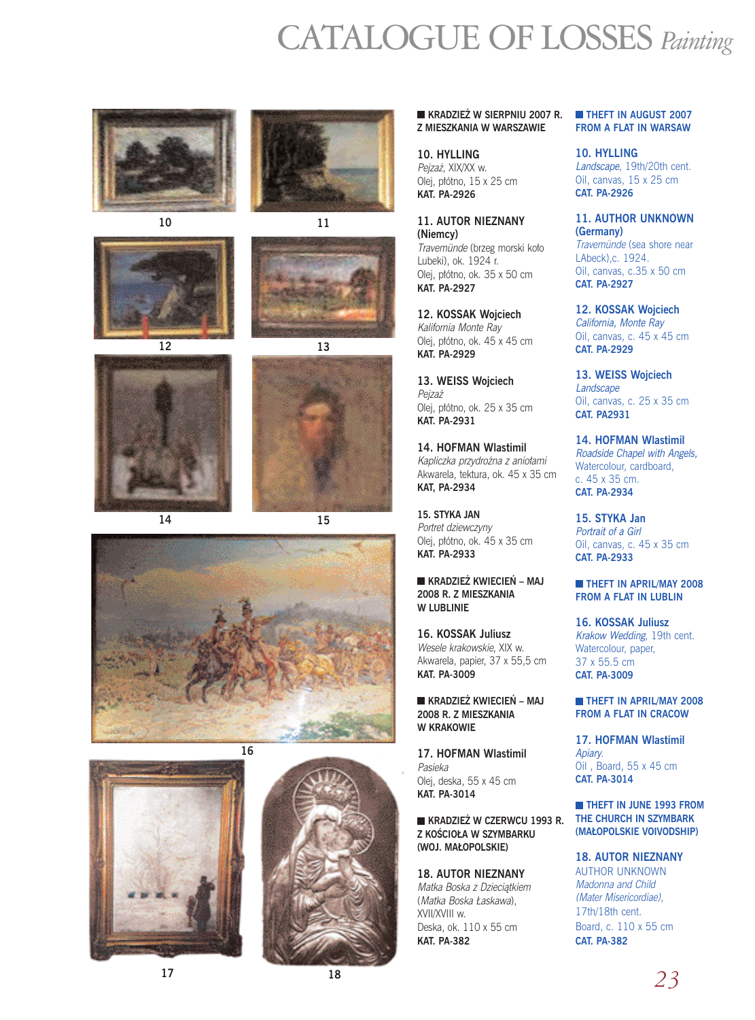# CATALOGUE OF LOSSES *Painting*











**15**







#### **KRADZIEŻ W SIERPNIU 2007 R. Z MIESZKANIA W WARSZAWIE**

**10. HYLLING** Pejzaż, XIX/XX w. Olej, płótno, 15 x 25 cm **KAT. PA-2926**

**11. AUTOR NIEZNANY (Niemcy)** Travemünde (brzeg morski koło Lubeki), ok. 1924 r.

Olej, płótno, ok. 35 x 50 cm **KAT. PA-2927**

**12. KOSSAK Wojciech** Kalifornia Monte Ray Olej, p∏ótno, ok. 45 x 45 cm **KAT. PA-2929**

**13. WEISS Wojciech** Pejza˝ Olej, płótno, ok. 25 x 35 cm **KAT. PA-2931**

**14. HOFMAN Wlastimil** Kapliczka przydrożna z aniołami Akwarela, tektura, ok. 45 x 35 cm **KAT, PA-2934**

**15. STYKA JAN** Portret dziewczyny Olej, płótno, ok. 45 x 35 cm **KAT. PA-2933**

**KRADZIEŻ KWIECIEŃ – MAJ 2008 R. Z MIESZKANIA W LUBLINIE**

**16. KOSSAK Juliusz** Wesele krakowskie, XIX w. Akwarela, papier, 37 x 55,5 cm **KAT. PA-3009**

**KRADZIEŻ KWIECIEŃ – MAJ 2008 R. Z MIESZKANIA W KRAKOWIE**

**17. HOFMAN Wlastimil** Pasieka Olej, deska, 55 x 45 cm **KAT. PA-3014**

**KRADZIE˚ W CZERWCU 1993 R. Z KOŚCIOŁA W SZYMBARKU** (WOJ. MAŁOPOLSKIE)

**18. AUTOR NIEZNANY** Matka Boska z Dzieciątkiem

(Matka Boska Łaskawa), XVII/XVIII w. Deska, ok. 110 x 55 cm **KAT. PA-382**

#### **THEFT IN AUGUST 2007 FROM A FLAT IN WARSAW**

**10. HYLLING** Landscape, 19th/20th cent. Oil, canvas, 15 x 25 cm **CAT. PA-2926**

**11. AUTHOR UNKNOWN (Germany)** Travemünde (sea shore near LAbeck),c. 1924. Oil, canvas, c.35 x 50 cm **CAT. PA-2927**

**12. KOSSAK Wojciech** California, Monte Ray Oil, canvas, c. 45 x 45 cm **CAT. PA-2929**

**13. WEISS Wojciech** Landscape Oil, canvas, c. 25 x 35 cm **CAT. PA2931**

**14. HOFMAN Wlastimil** Roadside Chapel with Angels, Watercolour, cardboard, c. 45 x 35 cm. **CAT. PA-2934**

**15. STYKA Jan** Portrait of a Girl Oil, canvas, c. 45 x 35 cm **CAT. PA-2933**

**THEFT IN APRIL/MAY 2008 FROM A FLAT IN LUBLIN**

**16. KOSSAK Juliusz** Krakow Wedding, 19th cent. Watercolour, paper, 37 x 55.5 cm **CAT. PA-3009**

**THEFT IN APRIL/MAY 2008 FROM A FLAT IN CRACOW**

**17. HOFMAN Wlastimil Anian** Oil , Board, 55 x 45 cm **CAT. PA-3014**

**THEFT IN JUNE 1993 FROM THE CHURCH IN SZYMBARK (MA¸OPOLSKIE VOIVODSHIP)**

#### **18. AUTOR NIEZNANY**

AUTHOR UNKNOWN Madonna and Child (Mater Misericordiae), 17th/18th cent. Board, c. 110 x 55 cm **CAT. PA-382**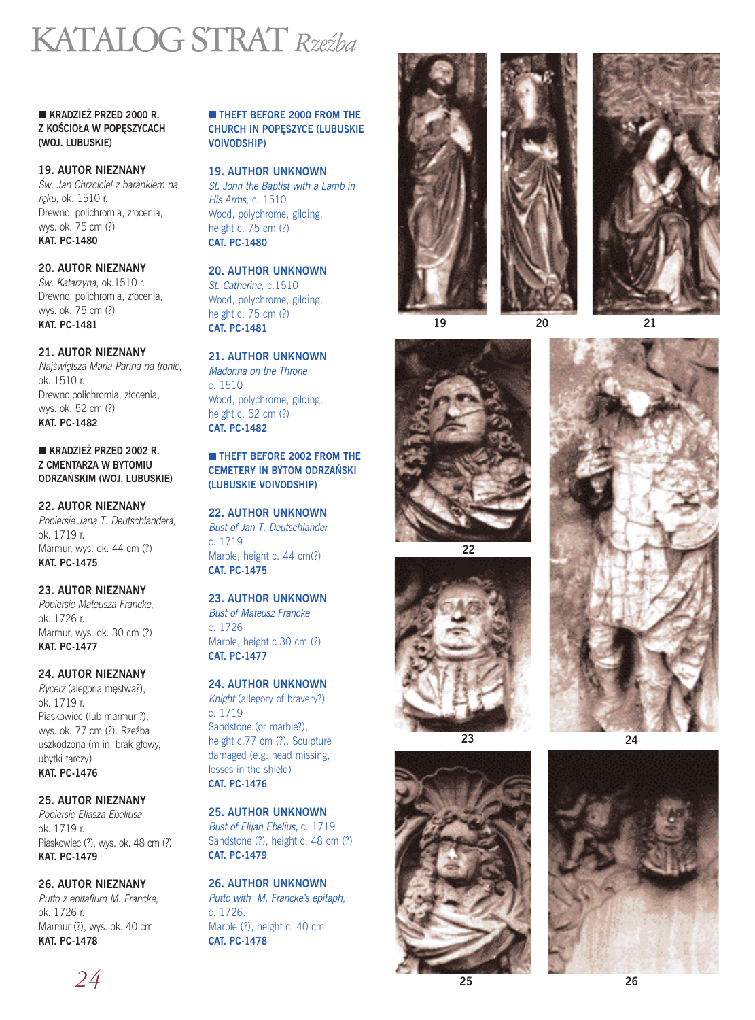# KATALOG STRAT*Rzeêba*

**KRADZIE˚ PRZED 2000 R. Z KOŚCIOŁA W POPESZYCACH (WOJ. LUBUSKIE)**

### **19. AUTOR NIEZNANY**

Âw. Jan Chrzciciel z barankiem na reku, ok. 1510 r. Drewno, polichromia, złocenia, wys. ok. 75 cm (?) **KAT. PC-1480**

## **20. AUTOR NIEZNANY**

Św. Katarzyna, ok.1510 r. Drewno, polichromia, złocenia, wys. ok. 75 cm (?) **KAT. PC-1481**

## **21. AUTOR NIEZNANY**

Najświętsza Maria Panna na tronie, ok. 1510 r. Drewno,polichromia, złocenia, wys. ok. 52 cm (?) **KAT. PC-1482**

**KRADZIE˚ PRZED 2002 R. Z CMENTARZA W BYTOMIU ODRZA¡SKIM (WOJ. LUBUSKIE)**

### **22. AUTOR NIEZNANY**

Popiersie Jana T. Deutschlandera, ok. 1719 r. Marmur, wys. ok. 44 cm (?) **KAT. PC-1475**

## **23. AUTOR NIEZNANY**

Popiersie Mateusza Francke, ok. 1726 r. Marmur, wys. ok. 30 cm (?) **KAT. PC-1477**

## **24. AUTOR NIEZNANY**

Rycerz (alegoria męstwa?), ok. 1719 r. Piaskowiec (lub marmur ?), wys. ok. 77 cm (?). Rzeêba uszkodzona (m.in. brak głowy, ubytki tarczy) **KAT. PC-1476**

#### **25. AUTOR NIEZNANY**

Popiersie Eliasza Ebeliusa, ok. 1719 r. Piaskowiec (?), wys. ok. 48 cm (?) **KAT. PC-1479**

## **26. AUTOR NIEZNANY**

Putto z epitafium M. Francke, ok. 1726 r. Marmur (?), wys. ok. 40 cm **KAT. PC-1478**

**THEFT BEFORE 2000 FROM THE CHURCH IN POPESZYCE (LUBUSKIE VOIVODSHIP)**

### **19. AUTHOR UNKNOWN**

St. John the Baptist with a Lamb in His Arms, c. 1510 Wood, polychrome, gilding, height c. 75 cm (?) **CAT. PC-1480**

# **20. AUTHOR UNKNOWN**

St. Catherine, c.1510 Wood, polychrome, gilding, height c. 75 cm (?) **CAT. PC-1481**

### **21. AUTHOR UNKNOWN**

Madonna on the Throne c. 1510 Wood, polychrome, gilding, height c. 52 cm (?) **CAT. PC-1482**

#### **THEFT BEFORE 2002 FROM THE CEMETERY IN BYTOM ODRZAŃSKI (LUBUSKIE VOIVODSHIP)**

# **22. AUTHOR UNKNOWN**

Bust of Jan T. Deutschlander c. 1719 Marble, height c. 44 cm(?) **CAT. PC-1475**

#### **23. AUTHOR UNKNOWN** Bust of Mateusz Francke c. 1726 Marble, height c.30 cm (?) **CAT. PC-1477**

## **24. AUTHOR UNKNOWN**

Knight (allegory of bravery?) c. 1719 Sandstone (or marble?), height c.77 cm (?). Sculpture damaged (e.g. head missing, losses in the shield) **CAT. PC-1476**

## **25. AUTHOR UNKNOWN** Bust of Elijah Ebelius, c. 1719

Sandstone (?), height c. 48 cm (?) **CAT. PC-1479**

#### **26. AUTHOR UNKNOWN** Putto with M. Francke's epitaph, c. 1726. Marble (?), height c. 40 cm **CAT. PC-1478**







**19**



**22**



**23**



**20 21**





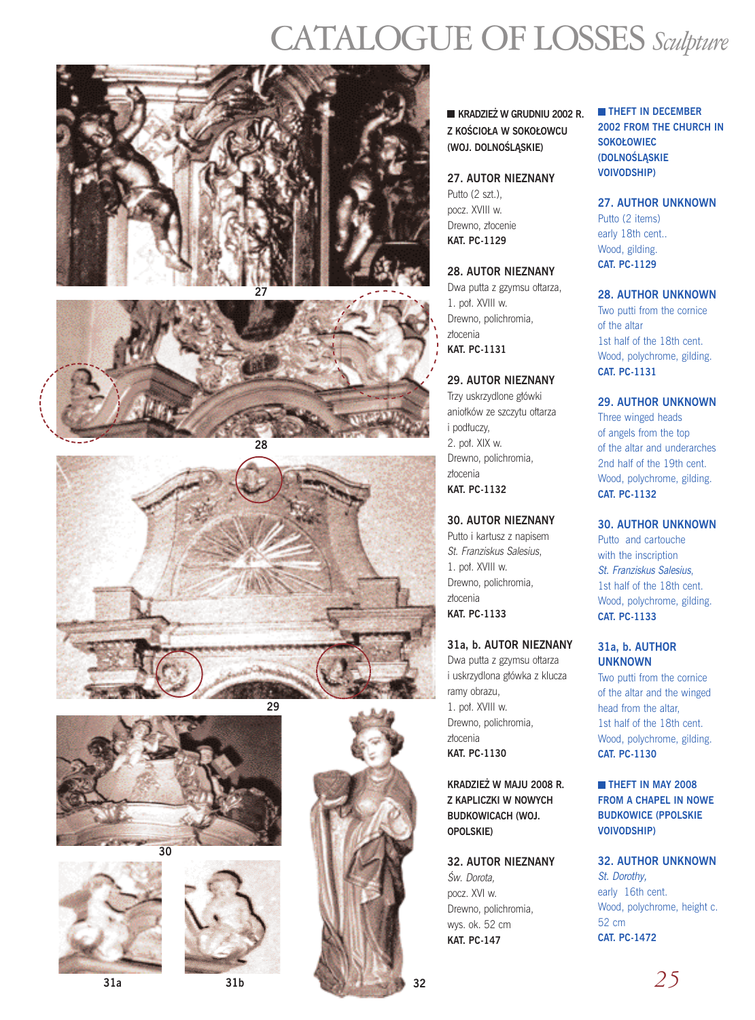# CATALOGUE OF LOSSES *Sculpture*





**28**









**31a 31b 32**

**KRADZIE˚ W GRUDNIU 2002 R. Z KOŚCIOŁA W SOKOŁOWCU (WOJ. DOLNOÂLÑSKIE)**

### **27. AUTOR NIEZNANY**

Putto (2 szt.). pocz. XVIII w. Drewno, złocenie **KAT. PC-1129**

#### **28. AUTOR NIEZNANY**

Dwa putta z gzymsu ołtarza, 1. pot. XVIII w. Drewno, polichromia, złocenia **KAT. PC-1131**

## **29. AUTOR NIEZNANY**

Trzy uskrzydlone główki anio∏ków ze szczytu o∏tarza i podłuczy, 2. pot. XIX w. Drewno, polichromia, złocenia **KAT. PC-1132**

## **30. AUTOR NIEZNANY**

Putto i kartusz z napisem St. Franziskus Salesius, 1. pot. XVIII w. Drewno, polichromia, złocenia **KAT. PC-1133**

# **31a, b. AUTOR NIEZNANY**

Dwa putta z gzymsu ołtarza i uskrzydlona g∏ówka z klucza ramy obrazu, 1. pot. XVIII w. Drewno, polichromia, złocenia **KAT. PC-1130**

**KRADZIE˚ W MAJU 2008 R. Z KAPLICZKI W NOWYCH BUDKOWICACH (WOJ. OPOLSKIE)**

# **32. AUTOR NIEZNANY**

Âw. Dorota, pocz. XVI w. Drewno, polichromia, wys. ok. 52 cm **KAT. PC-147**

**THEFT IN DECEMBER 2002 FROM THE CHURCH IN SOKOŁOWIEC (DOLNOÂLÑSKIE VOIVODSHIP)**

## **27. AUTHOR UNKNOWN**

Putto (2 items) early 18th cent.. Wood, gilding. **CAT. PC-1129**

## **28. AUTHOR UNKNOWN**

Two putti from the cornice of the altar 1st half of the 18th cent. Wood, polychrome, gilding. **CAT. PC-1131**

## **29. AUTHOR UNKNOWN**

Three winged heads of angels from the top of the altar and underarches 2nd half of the 19th cent. Wood, polychrome, gilding. **CAT. PC-1132**

#### **30. AUTHOR UNKNOWN**

Putto and cartouche with the inscription St. Franziskus Salesius, 1st half of the 18th cent. Wood, polychrome, gilding. **CAT. PC-1133**

## **31a, b. AUTHOR UNKNOWN**

Two putti from the cornice of the altar and the winged head from the altar, 1st half of the 18th cent. Wood, polychrome, gilding. **CAT. PC-1130**

## **THEFT IN MAY 2008 FROM A CHAPEL IN NOWE BUDKOWICE (PPOLSKIE VOIVODSHIP)**

**32. AUTHOR UNKNOWN** St. Dorothy, early 16th cent. Wood, polychrome, height c. 52 cm **CAT. PC-1472**